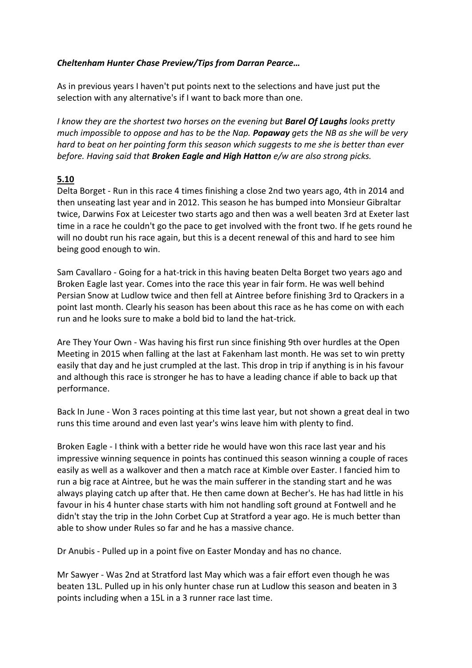## *Cheltenham Hunter Chase Preview/Tips from Darran Pearce…*

As in previous years I haven't put points next to the selections and have just put the selection with any alternative's if I want to back more than one.

*I know they are the shortest two horses on the evening but Barel Of Laughs looks pretty much impossible to oppose and has to be the Nap. Popaway gets the NB as she will be very hard to beat on her pointing form this season which suggests to me she is better than ever before. Having said that Broken Eagle and High Hatton e/w are also strong picks.*

## **5.10**

Delta Borget - Run in this race 4 times finishing a close 2nd two years ago, 4th in 2014 and then unseating last year and in 2012. This season he has bumped into Monsieur Gibraltar twice, Darwins Fox at Leicester two starts ago and then was a well beaten 3rd at Exeter last time in a race he couldn't go the pace to get involved with the front two. If he gets round he will no doubt run his race again, but this is a decent renewal of this and hard to see him being good enough to win.

Sam Cavallaro - Going for a hat-trick in this having beaten Delta Borget two years ago and Broken Eagle last year. Comes into the race this year in fair form. He was well behind Persian Snow at Ludlow twice and then fell at Aintree before finishing 3rd to Qrackers in a point last month. Clearly his season has been about this race as he has come on with each run and he looks sure to make a bold bid to land the hat-trick.

Are They Your Own - Was having his first run since finishing 9th over hurdles at the Open Meeting in 2015 when falling at the last at Fakenham last month. He was set to win pretty easily that day and he just crumpled at the last. This drop in trip if anything is in his favour and although this race is stronger he has to have a leading chance if able to back up that performance.

Back In June - Won 3 races pointing at this time last year, but not shown a great deal in two runs this time around and even last year's wins leave him with plenty to find.

Broken Eagle - I think with a better ride he would have won this race last year and his impressive winning sequence in points has continued this season winning a couple of races easily as well as a walkover and then a match race at Kimble over Easter. I fancied him to run a big race at Aintree, but he was the main sufferer in the standing start and he was always playing catch up after that. He then came down at Becher's. He has had little in his favour in his 4 hunter chase starts with him not handling soft ground at Fontwell and he didn't stay the trip in the John Corbet Cup at Stratford a year ago. He is much better than able to show under Rules so far and he has a massive chance.

Dr Anubis - Pulled up in a point five on Easter Monday and has no chance.

Mr Sawyer - Was 2nd at Stratford last May which was a fair effort even though he was beaten 13L. Pulled up in his only hunter chase run at Ludlow this season and beaten in 3 points including when a 15L in a 3 runner race last time.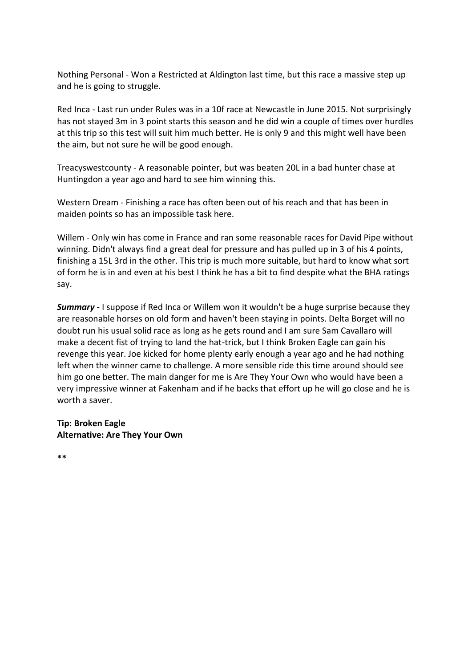Nothing Personal - Won a Restricted at Aldington last time, but this race a massive step up and he is going to struggle.

Red Inca - Last run under Rules was in a 10f race at Newcastle in June 2015. Not surprisingly has not stayed 3m in 3 point starts this season and he did win a couple of times over hurdles at this trip so this test will suit him much better. He is only 9 and this might well have been the aim, but not sure he will be good enough.

Treacyswestcounty - A reasonable pointer, but was beaten 20L in a bad hunter chase at Huntingdon a year ago and hard to see him winning this.

Western Dream - Finishing a race has often been out of his reach and that has been in maiden points so has an impossible task here.

Willem - Only win has come in France and ran some reasonable races for David Pipe without winning. Didn't always find a great deal for pressure and has pulled up in 3 of his 4 points, finishing a 15L 3rd in the other. This trip is much more suitable, but hard to know what sort of form he is in and even at his best I think he has a bit to find despite what the BHA ratings say.

**Summary** - I suppose if Red Inca or Willem won it wouldn't be a huge surprise because they are reasonable horses on old form and haven't been staying in points. Delta Borget will no doubt run his usual solid race as long as he gets round and I am sure Sam Cavallaro will make a decent fist of trying to land the hat-trick, but I think Broken Eagle can gain his revenge this year. Joe kicked for home plenty early enough a year ago and he had nothing left when the winner came to challenge. A more sensible ride this time around should see him go one better. The main danger for me is Are They Your Own who would have been a very impressive winner at Fakenham and if he backs that effort up he will go close and he is worth a saver.

### **Tip: Broken Eagle Alternative: Are They Your Own**

**\*\***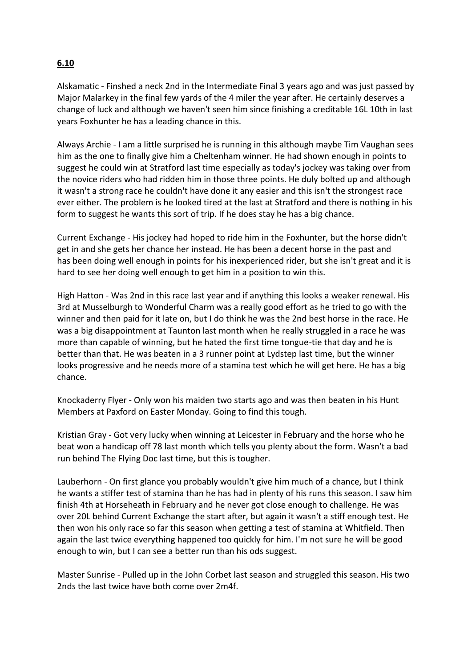# **6.10**

Alskamatic - Finshed a neck 2nd in the Intermediate Final 3 years ago and was just passed by Major Malarkey in the final few yards of the 4 miler the year after. He certainly deserves a change of luck and although we haven't seen him since finishing a creditable 16L 10th in last years Foxhunter he has a leading chance in this.

Always Archie - I am a little surprised he is running in this although maybe Tim Vaughan sees him as the one to finally give him a Cheltenham winner. He had shown enough in points to suggest he could win at Stratford last time especially as today's jockey was taking over from the novice riders who had ridden him in those three points. He duly bolted up and although it wasn't a strong race he couldn't have done it any easier and this isn't the strongest race ever either. The problem is he looked tired at the last at Stratford and there is nothing in his form to suggest he wants this sort of trip. If he does stay he has a big chance.

Current Exchange - His jockey had hoped to ride him in the Foxhunter, but the horse didn't get in and she gets her chance her instead. He has been a decent horse in the past and has been doing well enough in points for his inexperienced rider, but she isn't great and it is hard to see her doing well enough to get him in a position to win this.

High Hatton - Was 2nd in this race last year and if anything this looks a weaker renewal. His 3rd at Musselburgh to Wonderful Charm was a really good effort as he tried to go with the winner and then paid for it late on, but I do think he was the 2nd best horse in the race. He was a big disappointment at Taunton last month when he really struggled in a race he was more than capable of winning, but he hated the first time tongue-tie that day and he is better than that. He was beaten in a 3 runner point at Lydstep last time, but the winner looks progressive and he needs more of a stamina test which he will get here. He has a big chance.

Knockaderry Flyer - Only won his maiden two starts ago and was then beaten in his Hunt Members at Paxford on Easter Monday. Going to find this tough.

Kristian Gray - Got very lucky when winning at Leicester in February and the horse who he beat won a handicap off 78 last month which tells you plenty about the form. Wasn't a bad run behind The Flying Doc last time, but this is tougher.

Lauberhorn - On first glance you probably wouldn't give him much of a chance, but I think he wants a stiffer test of stamina than he has had in plenty of his runs this season. I saw him finish 4th at Horseheath in February and he never got close enough to challenge. He was over 20L behind Current Exchange the start after, but again it wasn't a stiff enough test. He then won his only race so far this season when getting a test of stamina at Whitfield. Then again the last twice everything happened too quickly for him. I'm not sure he will be good enough to win, but I can see a better run than his ods suggest.

Master Sunrise - Pulled up in the John Corbet last season and struggled this season. His two 2nds the last twice have both come over 2m4f.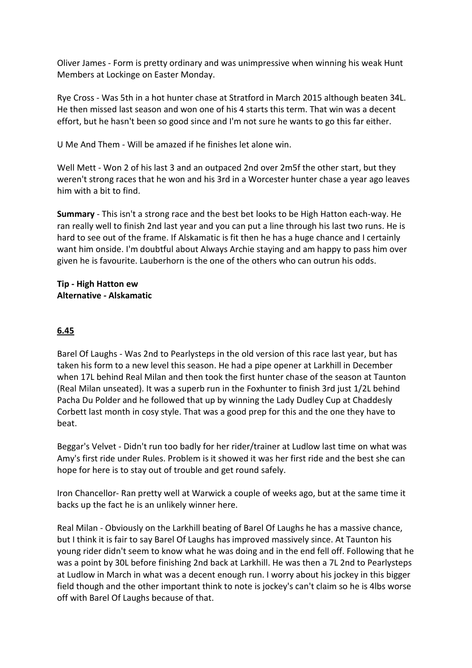Oliver James - Form is pretty ordinary and was unimpressive when winning his weak Hunt Members at Lockinge on Easter Monday.

Rye Cross - Was 5th in a hot hunter chase at Stratford in March 2015 although beaten 34L. He then missed last season and won one of his 4 starts this term. That win was a decent effort, but he hasn't been so good since and I'm not sure he wants to go this far either.

U Me And Them - Will be amazed if he finishes let alone win.

Well Mett - Won 2 of his last 3 and an outpaced 2nd over 2m5f the other start, but they weren't strong races that he won and his 3rd in a Worcester hunter chase a year ago leaves him with a bit to find.

**Summary** - This isn't a strong race and the best bet looks to be High Hatton each-way. He ran really well to finish 2nd last year and you can put a line through his last two runs. He is hard to see out of the frame. If Alskamatic is fit then he has a huge chance and I certainly want him onside. I'm doubtful about Always Archie staying and am happy to pass him over given he is favourite. Lauberhorn is the one of the others who can outrun his odds.

### **Tip - High Hatton ew Alternative - Alskamatic**

## **6.45**

Barel Of Laughs - Was 2nd to Pearlysteps in the old version of this race last year, but has taken his form to a new level this season. He had a pipe opener at Larkhill in December when 17L behind Real Milan and then took the first hunter chase of the season at Taunton (Real Milan unseated). It was a superb run in the Foxhunter to finish 3rd just 1/2L behind Pacha Du Polder and he followed that up by winning the Lady Dudley Cup at Chaddesly Corbett last month in cosy style. That was a good prep for this and the one they have to beat.

Beggar's Velvet - Didn't run too badly for her rider/trainer at Ludlow last time on what was Amy's first ride under Rules. Problem is it showed it was her first ride and the best she can hope for here is to stay out of trouble and get round safely.

Iron Chancellor- Ran pretty well at Warwick a couple of weeks ago, but at the same time it backs up the fact he is an unlikely winner here.

Real Milan - Obviously on the Larkhill beating of Barel Of Laughs he has a massive chance, but I think it is fair to say Barel Of Laughs has improved massively since. At Taunton his young rider didn't seem to know what he was doing and in the end fell off. Following that he was a point by 30L before finishing 2nd back at Larkhill. He was then a 7L 2nd to Pearlysteps at Ludlow in March in what was a decent enough run. I worry about his jockey in this bigger field though and the other important think to note is jockey's can't claim so he is 4lbs worse off with Barel Of Laughs because of that.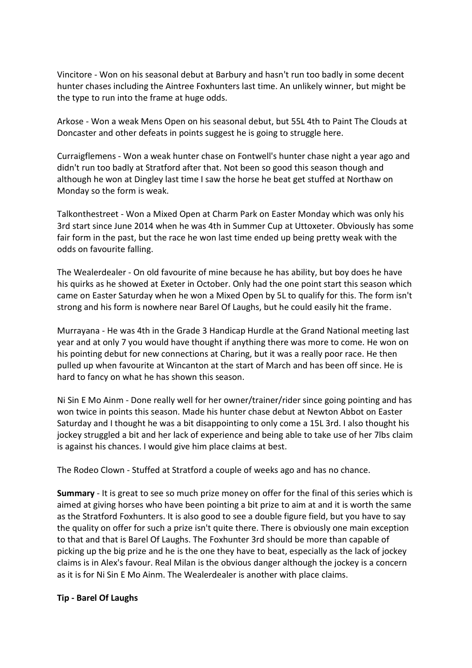Vincitore - Won on his seasonal debut at Barbury and hasn't run too badly in some decent hunter chases including the Aintree Foxhunters last time. An unlikely winner, but might be the type to run into the frame at huge odds.

Arkose - Won a weak Mens Open on his seasonal debut, but 55L 4th to Paint The Clouds at Doncaster and other defeats in points suggest he is going to struggle here.

Curraigflemens - Won a weak hunter chase on Fontwell's hunter chase night a year ago and didn't run too badly at Stratford after that. Not been so good this season though and although he won at Dingley last time I saw the horse he beat get stuffed at Northaw on Monday so the form is weak.

Talkonthestreet - Won a Mixed Open at Charm Park on Easter Monday which was only his 3rd start since June 2014 when he was 4th in Summer Cup at Uttoxeter. Obviously has some fair form in the past, but the race he won last time ended up being pretty weak with the odds on favourite falling.

The Wealerdealer - On old favourite of mine because he has ability, but boy does he have his quirks as he showed at Exeter in October. Only had the one point start this season which came on Easter Saturday when he won a Mixed Open by 5L to qualify for this. The form isn't strong and his form is nowhere near Barel Of Laughs, but he could easily hit the frame.

Murrayana - He was 4th in the Grade 3 Handicap Hurdle at the Grand National meeting last year and at only 7 you would have thought if anything there was more to come. He won on his pointing debut for new connections at Charing, but it was a really poor race. He then pulled up when favourite at Wincanton at the start of March and has been off since. He is hard to fancy on what he has shown this season.

Ni Sin E Mo Ainm - Done really well for her owner/trainer/rider since going pointing and has won twice in points this season. Made his hunter chase debut at Newton Abbot on Easter Saturday and I thought he was a bit disappointing to only come a 15L 3rd. I also thought his jockey struggled a bit and her lack of experience and being able to take use of her 7lbs claim is against his chances. I would give him place claims at best.

The Rodeo Clown - Stuffed at Stratford a couple of weeks ago and has no chance.

**Summary** - It is great to see so much prize money on offer for the final of this series which is aimed at giving horses who have been pointing a bit prize to aim at and it is worth the same as the Stratford Foxhunters. It is also good to see a double figure field, but you have to say the quality on offer for such a prize isn't quite there. There is obviously one main exception to that and that is Barel Of Laughs. The Foxhunter 3rd should be more than capable of picking up the big prize and he is the one they have to beat, especially as the lack of jockey claims is in Alex's favour. Real Milan is the obvious danger although the jockey is a concern as it is for Ni Sin E Mo Ainm. The Wealerdealer is another with place claims.

#### **Tip - Barel Of Laughs**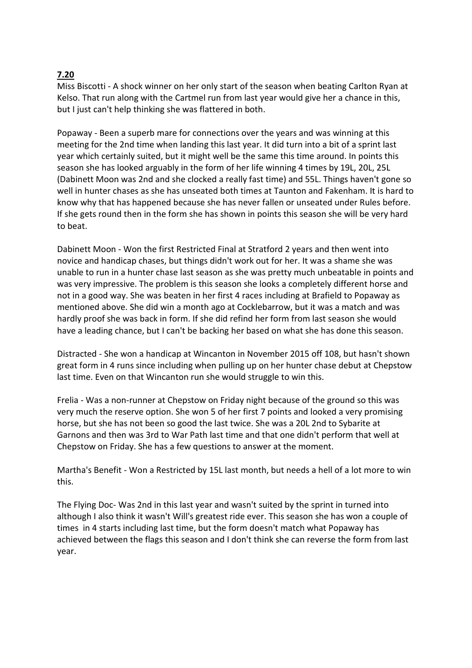# **7.20**

Miss Biscotti - A shock winner on her only start of the season when beating Carlton Ryan at Kelso. That run along with the Cartmel run from last year would give her a chance in this, but I just can't help thinking she was flattered in both.

Popaway - Been a superb mare for connections over the years and was winning at this meeting for the 2nd time when landing this last year. It did turn into a bit of a sprint last year which certainly suited, but it might well be the same this time around. In points this season she has looked arguably in the form of her life winning 4 times by 19L, 20L, 25L (Dabinett Moon was 2nd and she clocked a really fast time) and 55L. Things haven't gone so well in hunter chases as she has unseated both times at Taunton and Fakenham. It is hard to know why that has happened because she has never fallen or unseated under Rules before. If she gets round then in the form she has shown in points this season she will be very hard to beat.

Dabinett Moon - Won the first Restricted Final at Stratford 2 years and then went into novice and handicap chases, but things didn't work out for her. It was a shame she was unable to run in a hunter chase last season as she was pretty much unbeatable in points and was very impressive. The problem is this season she looks a completely different horse and not in a good way. She was beaten in her first 4 races including at Brafield to Popaway as mentioned above. She did win a month ago at Cocklebarrow, but it was a match and was hardly proof she was back in form. If she did refind her form from last season she would have a leading chance, but I can't be backing her based on what she has done this season.

Distracted - She won a handicap at Wincanton in November 2015 off 108, but hasn't shown great form in 4 runs since including when pulling up on her hunter chase debut at Chepstow last time. Even on that Wincanton run she would struggle to win this.

Frelia - Was a non-runner at Chepstow on Friday night because of the ground so this was very much the reserve option. She won 5 of her first 7 points and looked a very promising horse, but she has not been so good the last twice. She was a 20L 2nd to Sybarite at Garnons and then was 3rd to War Path last time and that one didn't perform that well at Chepstow on Friday. She has a few questions to answer at the moment.

Martha's Benefit - Won a Restricted by 15L last month, but needs a hell of a lot more to win this.

The Flying Doc- Was 2nd in this last year and wasn't suited by the sprint in turned into although I also think it wasn't Will's greatest ride ever. This season she has won a couple of times in 4 starts including last time, but the form doesn't match what Popaway has achieved between the flags this season and I don't think she can reverse the form from last year.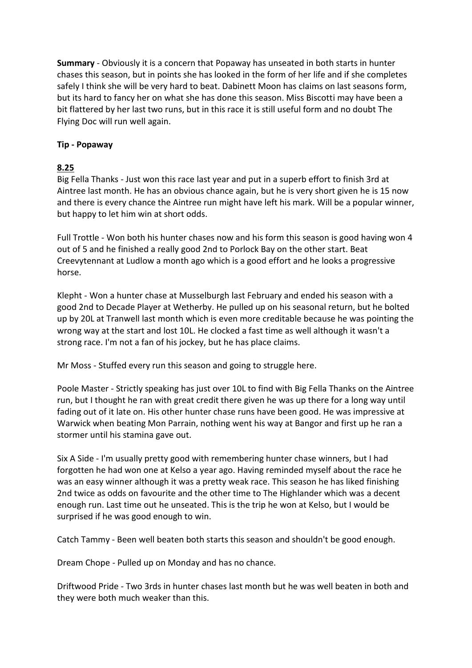**Summary** - Obviously it is a concern that Popaway has unseated in both starts in hunter chases this season, but in points she has looked in the form of her life and if she completes safely I think she will be very hard to beat. Dabinett Moon has claims on last seasons form, but its hard to fancy her on what she has done this season. Miss Biscotti may have been a bit flattered by her last two runs, but in this race it is still useful form and no doubt The Flying Doc will run well again.

### **Tip - Popaway**

### **8.25**

Big Fella Thanks - Just won this race last year and put in a superb effort to finish 3rd at Aintree last month. He has an obvious chance again, but he is very short given he is 15 now and there is every chance the Aintree run might have left his mark. Will be a popular winner, but happy to let him win at short odds.

Full Trottle - Won both his hunter chases now and his form this season is good having won 4 out of 5 and he finished a really good 2nd to Porlock Bay on the other start. Beat Creevytennant at Ludlow a month ago which is a good effort and he looks a progressive horse.

Klepht - Won a hunter chase at Musselburgh last February and ended his season with a good 2nd to Decade Player at Wetherby. He pulled up on his seasonal return, but he bolted up by 20L at Tranwell last month which is even more creditable because he was pointing the wrong way at the start and lost 10L. He clocked a fast time as well although it wasn't a strong race. I'm not a fan of his jockey, but he has place claims.

Mr Moss - Stuffed every run this season and going to struggle here.

Poole Master - Strictly speaking has just over 10L to find with Big Fella Thanks on the Aintree run, but I thought he ran with great credit there given he was up there for a long way until fading out of it late on. His other hunter chase runs have been good. He was impressive at Warwick when beating Mon Parrain, nothing went his way at Bangor and first up he ran a stormer until his stamina gave out.

Six A Side - I'm usually pretty good with remembering hunter chase winners, but I had forgotten he had won one at Kelso a year ago. Having reminded myself about the race he was an easy winner although it was a pretty weak race. This season he has liked finishing 2nd twice as odds on favourite and the other time to The Highlander which was a decent enough run. Last time out he unseated. This is the trip he won at Kelso, but I would be surprised if he was good enough to win.

Catch Tammy - Been well beaten both starts this season and shouldn't be good enough.

Dream Chope - Pulled up on Monday and has no chance.

Driftwood Pride - Two 3rds in hunter chases last month but he was well beaten in both and they were both much weaker than this.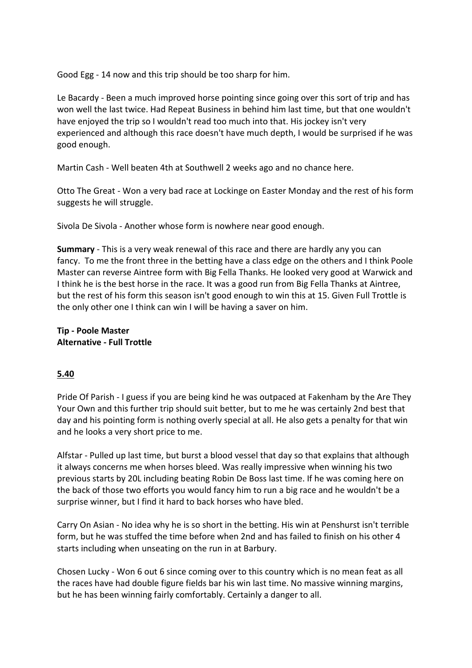Good Egg - 14 now and this trip should be too sharp for him.

Le Bacardy - Been a much improved horse pointing since going over this sort of trip and has won well the last twice. Had Repeat Business in behind him last time, but that one wouldn't have enjoyed the trip so I wouldn't read too much into that. His jockey isn't very experienced and although this race doesn't have much depth, I would be surprised if he was good enough.

Martin Cash - Well beaten 4th at Southwell 2 weeks ago and no chance here.

Otto The Great - Won a very bad race at Lockinge on Easter Monday and the rest of his form suggests he will struggle.

Sivola De Sivola - Another whose form is nowhere near good enough.

**Summary** - This is a very weak renewal of this race and there are hardly any you can fancy. To me the front three in the betting have a class edge on the others and I think Poole Master can reverse Aintree form with Big Fella Thanks. He looked very good at Warwick and I think he is the best horse in the race. It was a good run from Big Fella Thanks at Aintree, but the rest of his form this season isn't good enough to win this at 15. Given Full Trottle is the only other one I think can win I will be having a saver on him.

**Tip - Poole Master Alternative - Full Trottle**

#### **5.40**

Pride Of Parish - I guess if you are being kind he was outpaced at Fakenham by the Are They Your Own and this further trip should suit better, but to me he was certainly 2nd best that day and his pointing form is nothing overly special at all. He also gets a penalty for that win and he looks a very short price to me.

Alfstar - Pulled up last time, but burst a blood vessel that day so that explains that although it always concerns me when horses bleed. Was really impressive when winning his two previous starts by 20L including beating Robin De Boss last time. If he was coming here on the back of those two efforts you would fancy him to run a big race and he wouldn't be a surprise winner, but I find it hard to back horses who have bled.

Carry On Asian - No idea why he is so short in the betting. His win at Penshurst isn't terrible form, but he was stuffed the time before when 2nd and has failed to finish on his other 4 starts including when unseating on the run in at Barbury.

Chosen Lucky - Won 6 out 6 since coming over to this country which is no mean feat as all the races have had double figure fields bar his win last time. No massive winning margins, but he has been winning fairly comfortably. Certainly a danger to all.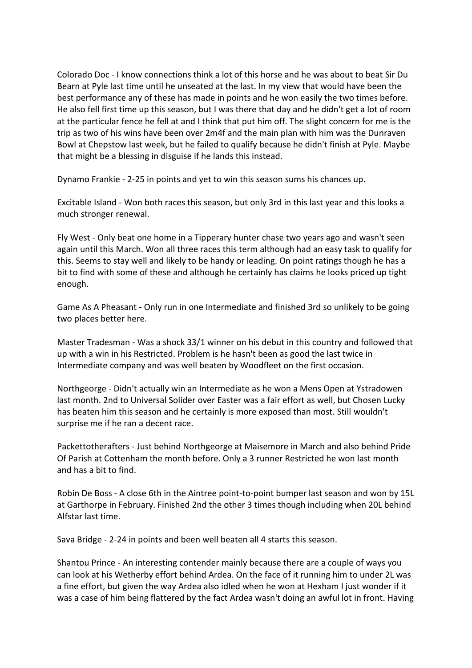Colorado Doc - I know connections think a lot of this horse and he was about to beat Sir Du Bearn at Pyle last time until he unseated at the last. In my view that would have been the best performance any of these has made in points and he won easily the two times before. He also fell first time up this season, but I was there that day and he didn't get a lot of room at the particular fence he fell at and I think that put him off. The slight concern for me is the trip as two of his wins have been over 2m4f and the main plan with him was the Dunraven Bowl at Chepstow last week, but he failed to qualify because he didn't finish at Pyle. Maybe that might be a blessing in disguise if he lands this instead.

Dynamo Frankie - 2-25 in points and yet to win this season sums his chances up.

Excitable Island - Won both races this season, but only 3rd in this last year and this looks a much stronger renewal.

Fly West - Only beat one home in a Tipperary hunter chase two years ago and wasn't seen again until this March. Won all three races this term although had an easy task to qualify for this. Seems to stay well and likely to be handy or leading. On point ratings though he has a bit to find with some of these and although he certainly has claims he looks priced up tight enough.

Game As A Pheasant - Only run in one Intermediate and finished 3rd so unlikely to be going two places better here.

Master Tradesman - Was a shock 33/1 winner on his debut in this country and followed that up with a win in his Restricted. Problem is he hasn't been as good the last twice in Intermediate company and was well beaten by Woodfleet on the first occasion.

Northgeorge - Didn't actually win an Intermediate as he won a Mens Open at Ystradowen last month. 2nd to Universal Solider over Easter was a fair effort as well, but Chosen Lucky has beaten him this season and he certainly is more exposed than most. Still wouldn't surprise me if he ran a decent race.

Packettotherafters - Just behind Northgeorge at Maisemore in March and also behind Pride Of Parish at Cottenham the month before. Only a 3 runner Restricted he won last month and has a bit to find.

Robin De Boss - A close 6th in the Aintree point-to-point bumper last season and won by 15L at Garthorpe in February. Finished 2nd the other 3 times though including when 20L behind Alfstar last time.

Sava Bridge - 2-24 in points and been well beaten all 4 starts this season.

Shantou Prince - An interesting contender mainly because there are a couple of ways you can look at his Wetherby effort behind Ardea. On the face of it running him to under 2L was a fine effort, but given the way Ardea also idled when he won at Hexham I just wonder if it was a case of him being flattered by the fact Ardea wasn't doing an awful lot in front. Having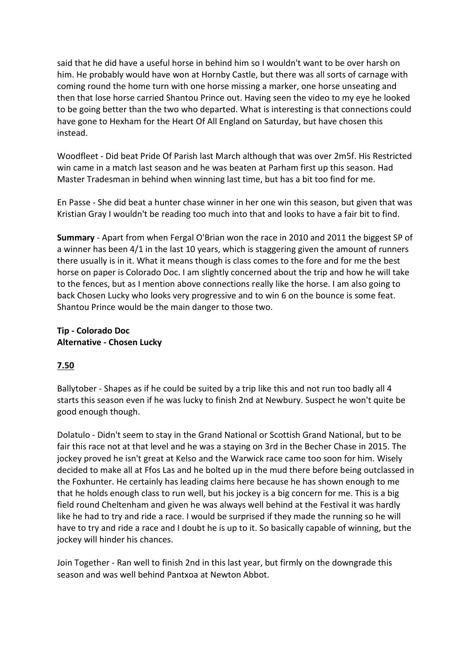said that he did have a useful horse in behind him so I wouldn't want to be over harsh on him. He probably would have won at Hornby Castle, but there was all sorts of carnage with coming round the home turn with one horse missing a marker, one horse unseating and then that lose horse carried Shantou Prince out. Having seen the video to my eye he looked to be going better than the two who departed. What is interesting is that connections could have gone to Hexham for the Heart Of All England on Saturday, but have chosen this instead.

Woodfleet - Did beat Pride Of Parish last March although that was over 2m5f. His Restricted win came in a match last season and he was beaten at Parham first up this season. Had Master Tradesman in behind when winning last time, but has a bit too find for me.

En Passe - She did beat a hunter chase winner in her one win this season, but given that was Kristian Gray I wouldn't be reading too much into that and looks to have a fair bit to find.

**Summary** - Apart from when Fergal O'Brian won the race in 2010 and 2011 the biggest SP of a winner has been 4/1 in the last 10 years, which is staggering given the amount of runners there usually is in it. What it means though is class comes to the fore and for me the best horse on paper is Colorado Doc. I am slightly concerned about the trip and how he will take to the fences, but as I mention above connections really like the horse. I am also going to back Chosen Lucky who looks very progressive and to win 6 on the bounce is some feat. Shantou Prince would be the main danger to those two.

#### **Tip - Colorado Doc Alternative - Chosen Lucky**

# **7.50**

Ballytober - Shapes as if he could be suited by a trip like this and not run too badly all 4 starts this season even if he was lucky to finish 2nd at Newbury. Suspect he won't quite be good enough though.

Dolatulo - Didn't seem to stay in the Grand National or Scottish Grand National, but to be fair this race not at that level and he was a staying on 3rd in the Becher Chase in 2015. The jockey proved he isn't great at Kelso and the Warwick race came too soon for him. Wisely decided to make all at Ffos Las and he bolted up in the mud there before being outclassed in the Foxhunter. He certainly has leading claims here because he has shown enough to me that he holds enough class to run well, but his jockey is a big concern for me. This is a big field round Cheltenham and given he was always well behind at the Festival it was hardly like he had to try and ride a race. I would be surprised if they made the running so he will have to try and ride a race and I doubt he is up to it. So basically capable of winning, but the jockey will hinder his chances.

Join Together - Ran well to finish 2nd in this last year, but firmly on the downgrade this season and was well behind Pantxoa at Newton Abbot.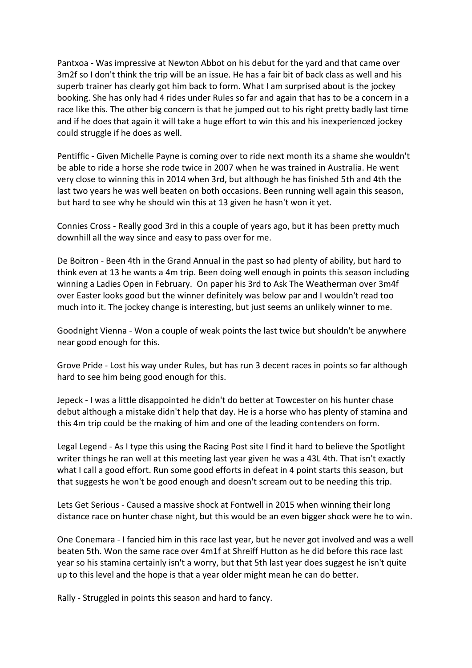Pantxoa - Was impressive at Newton Abbot on his debut for the yard and that came over 3m2f so I don't think the trip will be an issue. He has a fair bit of back class as well and his superb trainer has clearly got him back to form. What I am surprised about is the jockey booking. She has only had 4 rides under Rules so far and again that has to be a concern in a race like this. The other big concern is that he jumped out to his right pretty badly last time and if he does that again it will take a huge effort to win this and his inexperienced jockey could struggle if he does as well.

Pentiffic - Given Michelle Payne is coming over to ride next month its a shame she wouldn't be able to ride a horse she rode twice in 2007 when he was trained in Australia. He went very close to winning this in 2014 when 3rd, but although he has finished 5th and 4th the last two years he was well beaten on both occasions. Been running well again this season, but hard to see why he should win this at 13 given he hasn't won it yet.

Connies Cross - Really good 3rd in this a couple of years ago, but it has been pretty much downhill all the way since and easy to pass over for me.

De Boitron - Been 4th in the Grand Annual in the past so had plenty of ability, but hard to think even at 13 he wants a 4m trip. Been doing well enough in points this season including winning a Ladies Open in February. On paper his 3rd to Ask The Weatherman over 3m4f over Easter looks good but the winner definitely was below par and I wouldn't read too much into it. The jockey change is interesting, but just seems an unlikely winner to me.

Goodnight Vienna - Won a couple of weak points the last twice but shouldn't be anywhere near good enough for this.

Grove Pride - Lost his way under Rules, but has run 3 decent races in points so far although hard to see him being good enough for this.

Jepeck - I was a little disappointed he didn't do better at Towcester on his hunter chase debut although a mistake didn't help that day. He is a horse who has plenty of stamina and this 4m trip could be the making of him and one of the leading contenders on form.

Legal Legend - As I type this using the Racing Post site I find it hard to believe the Spotlight writer things he ran well at this meeting last year given he was a 43L 4th. That isn't exactly what I call a good effort. Run some good efforts in defeat in 4 point starts this season, but that suggests he won't be good enough and doesn't scream out to be needing this trip.

Lets Get Serious - Caused a massive shock at Fontwell in 2015 when winning their long distance race on hunter chase night, but this would be an even bigger shock were he to win.

One Conemara - I fancied him in this race last year, but he never got involved and was a well beaten 5th. Won the same race over 4m1f at Shreiff Hutton as he did before this race last year so his stamina certainly isn't a worry, but that 5th last year does suggest he isn't quite up to this level and the hope is that a year older might mean he can do better.

Rally - Struggled in points this season and hard to fancy.